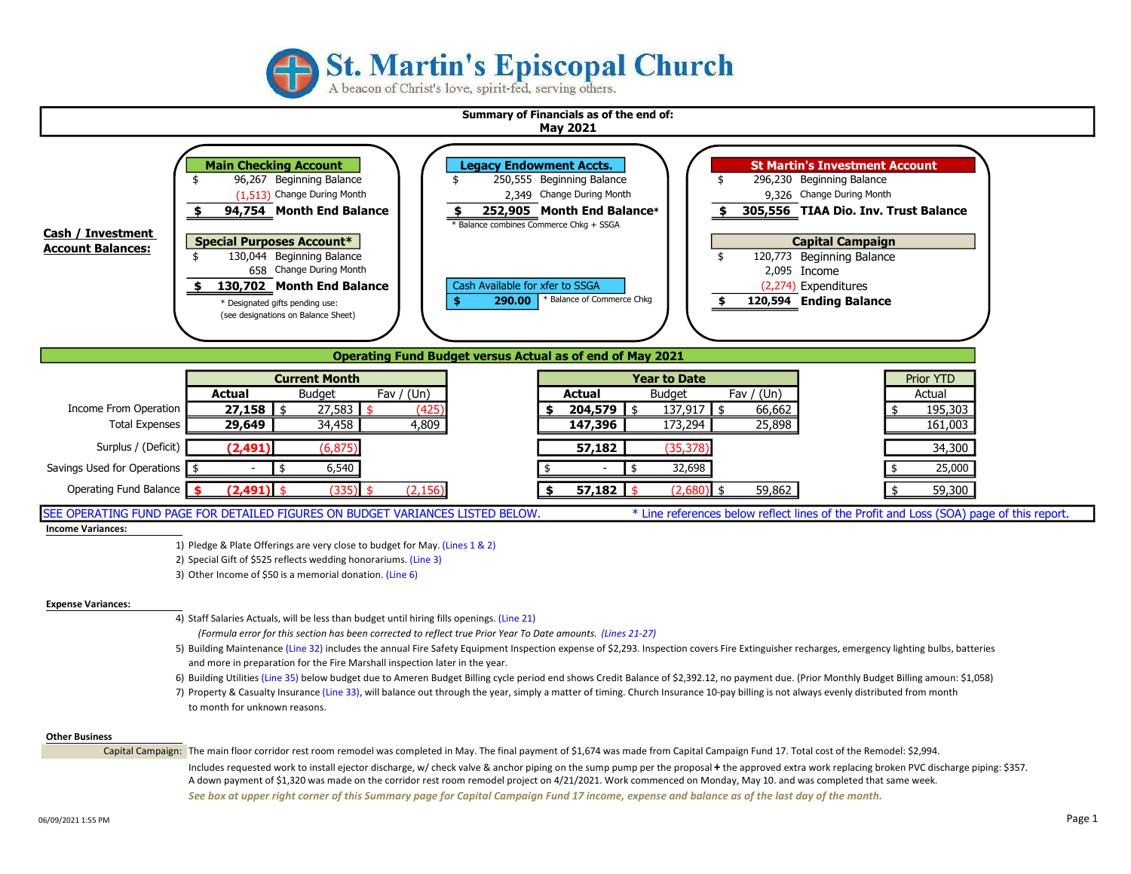

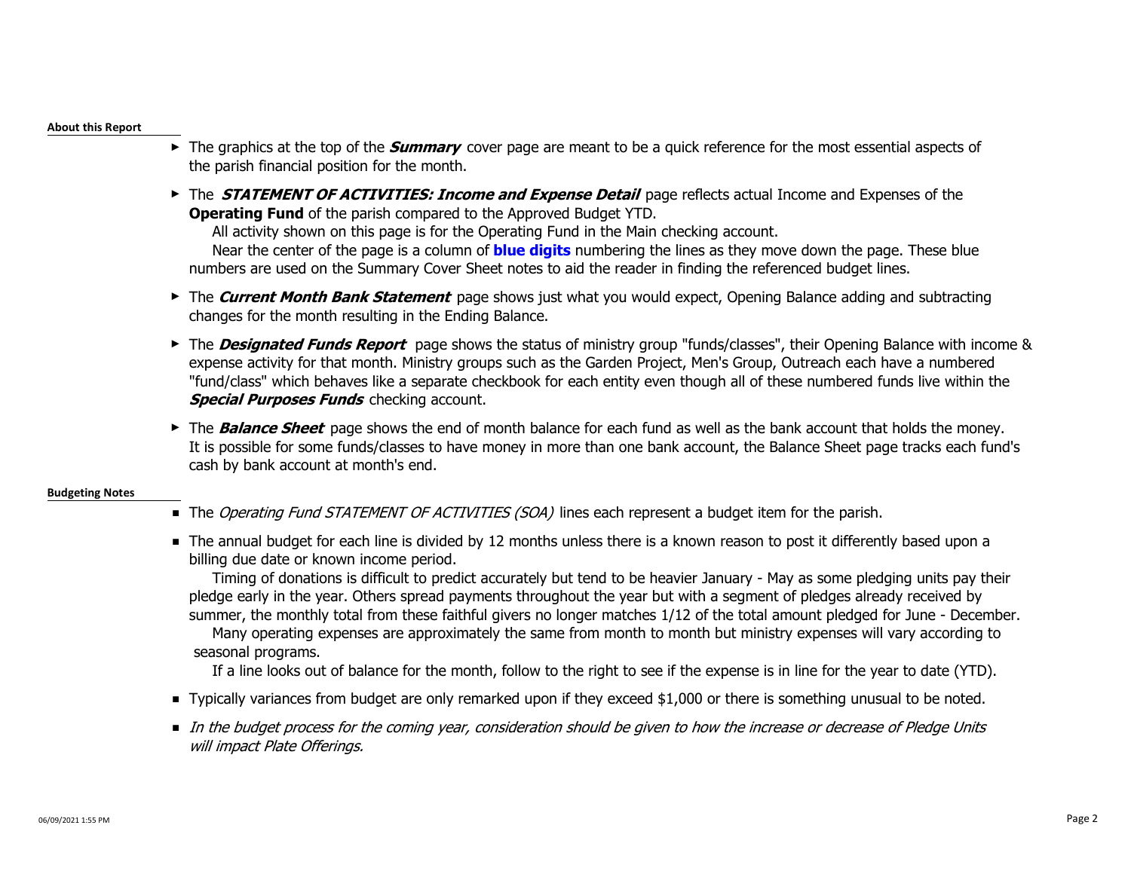### About this Report

- ► The graphics at the top of the *Summary* cover page are meant to be a quick reference for the most essential aspects of the parish financial position for the month.
- ► The **STATEMENT OF ACTIVITIES: Income and Expense Detail** page reflects actual Income and Expenses of the Operating Fund of the parish compared to the Approved Budget YTD.

All activity shown on this page is for the Operating Fund in the Main checking account.

Near the center of the page is a column of **blue digits** numbering the lines as they move down the page. These blue numbers are used on the Summary Cover Sheet notes to aid the reader in finding the referenced budget lines.

- ► The Current Month Bank Statement page shows just what you would expect, Opening Balance adding and subtracting changes for the month resulting in the Ending Balance.
- ► The **Designated Funds Report** page shows the status of ministry group "funds/classes", their Opening Balance with income & expense activity for that month. Ministry groups such as the Garden Project, Men's Group, Outreach each have a numbered "fund/class" which behaves like a separate checkbook for each entity even though all of these numbered funds live within the **Special Purposes Funds** checking account.
- ► The **Balance Sheet** page shows the end of month balance for each fund as well as the bank account that holds the money. It is possible for some funds/classes to have money in more than one bank account, the Balance Sheet page tracks each fund's cash by bank account at month's end.

## Budgeting Notes

- The *Operating Fund STATEMENT OF ACTIVITIES (SOA)* lines each represent a budget item for the parish.
- The annual budget for each line is divided by 12 months unless there is a known reason to post it differently based upon a billing due date or known income period.

 Timing of donations is difficult to predict accurately but tend to be heavier January - May as some pledging units pay their pledge early in the year. Others spread payments throughout the year but with a segment of pledges already received by summer, the monthly total from these faithful givers no longer matches 1/12 of the total amount pledged for June - December. Many operating expenses are approximately the same from month to month but ministry expenses will vary according to seasonal programs.

If a line looks out of balance for the month, follow to the right to see if the expense is in line for the year to date (YTD).

- Typically variances from budget are only remarked upon if they exceed \$1,000 or there is something unusual to be noted.
- In the budget process for the coming year, consideration should be given to how the increase or decrease of Pledge Units will impact Plate Offerings.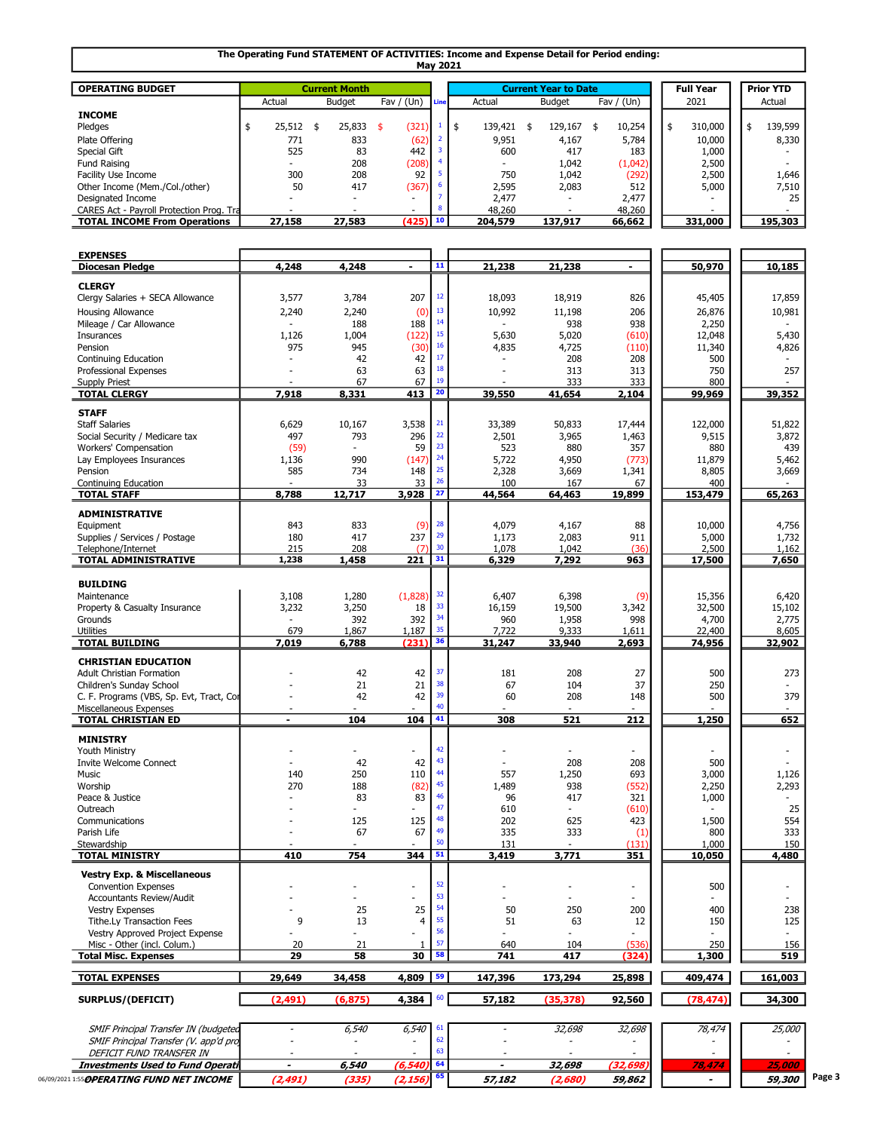#### The Operating Fund STATEMENT OF ACTIVITIES: Income and Expense Detail for Period ending: May 2021

| <b>OPERATING BUDGET</b>                  |                                         | <b>Current Month</b> |                          |  | <b>Current Year to Date</b> |               | <b>Full Year</b> |  |         | <b>Prior YTD</b> |        |         |
|------------------------------------------|-----------------------------------------|----------------------|--------------------------|--|-----------------------------|---------------|------------------|--|---------|------------------|--------|---------|
|                                          | Fav $/$ (Un)<br><b>Budget</b><br>Actual |                      | Line                     |  | Actual                      | <b>Budget</b> | Fav / $(Un)$     |  | 2021    |                  | Actual |         |
| <b>INCOME</b>                            |                                         |                      |                          |  |                             |               |                  |  |         |                  |        |         |
| Pledges                                  | 25,512                                  | 25,833               | (321)                    |  | 139,421                     | 129,167       | 10,254           |  | 310,000 |                  |        | 139,599 |
| Plate Offering                           | 771                                     | 833                  | (62)                     |  | 9,951                       | 4,167         | 5,784            |  | 10,000  |                  |        | 8,330   |
| Special Gift                             | 525                                     | 83                   | 442                      |  | 600                         | 417           | 183              |  | 1,000   |                  |        |         |
| Fund Raising                             |                                         | 208                  | (208)                    |  |                             | 1,042         | (1,042)          |  | 2,500   |                  |        |         |
| Facility Use Income                      | 300                                     | 208                  | 92                       |  | 750                         | 1,042         | (292)            |  | 2,500   |                  |        | 1,646   |
| Other Income (Mem./Col./other)           | 50                                      | 417                  | (367)                    |  | 2,595                       | 2,083         | 512              |  | 5,000   |                  |        | 7,510   |
| Designated Income                        |                                         |                      | $\overline{\phantom{0}}$ |  | 2.477                       |               | 2,477            |  |         |                  |        | 25      |
| CARES Act - Payroll Protection Prog. Tra |                                         |                      | $\overline{\phantom{0}}$ |  | 48,260                      |               | 48,260           |  |         |                  |        |         |
| <b>TOTAL INCOME From Operations</b>      | 27,158                                  | 27,583               | $(425)$ 10               |  | 204,579                     | 137,917       | 66,662           |  | 331,000 |                  |        | 195,303 |

| <b>EXPENSES</b>                           | 4,248                 | 4,248                    | ÷.                       | $\overline{11}$ | 21,238                   | 21,238                   | $\blacksquare$           | 50,970                   | 10,185                   |        |
|-------------------------------------------|-----------------------|--------------------------|--------------------------|-----------------|--------------------------|--------------------------|--------------------------|--------------------------|--------------------------|--------|
| <b>Diocesan Pledge</b>                    |                       |                          |                          |                 |                          |                          |                          |                          |                          |        |
| <b>CLERGY</b>                             |                       |                          |                          |                 |                          |                          |                          |                          |                          |        |
| Clergy Salaries + SECA Allowance          | 3,577                 | 3,784                    | 207                      | $12\,$          | 18,093                   | 18,919                   | 826                      | 45,405                   | 17,859                   |        |
| <b>Housing Allowance</b>                  | 2,240                 | 2,240                    | (0)                      | 13              | 10,992                   | 11,198                   | 206                      | 26,876                   | 10,981                   |        |
| Mileage / Car Allowance                   |                       | 188                      | 188                      | 14              |                          | 938                      | 938                      | 2,250                    |                          |        |
| Insurances                                | 1,126                 | 1,004                    | (122)                    | 15              | 5,630                    | 5,020                    | (610)                    | 12,048                   | 5,430                    |        |
| Pension                                   | 975                   | 945                      | (30)                     | 16              | 4,835                    | 4,725                    | (110)                    | 11,340                   | 4,826                    |        |
| Continuing Education                      |                       | 42                       | 42                       | 17              | $\overline{a}$           | 208                      | 208                      | 500                      |                          |        |
| Professional Expenses                     |                       | 63                       | 63                       | 18              |                          | 313                      | 313                      | 750                      | 257                      |        |
| <b>Supply Priest</b>                      |                       | 67                       | 67                       | 19              |                          | 333                      | 333                      | 800                      |                          |        |
| <b>TOTAL CLERGY</b>                       | 7,918                 | 8,331                    | 413                      | $\overline{20}$ | 39,550                   | 41,654                   | 2,104                    | 99,969                   | 39,352                   |        |
|                                           |                       |                          |                          |                 |                          |                          |                          |                          |                          |        |
| <b>STAFF</b>                              |                       |                          |                          |                 |                          |                          |                          |                          |                          |        |
| <b>Staff Salaries</b>                     | 6,629                 | 10,167                   | 3,538                    | 21              | 33,389                   | 50,833                   | 17,444                   | 122,000                  | 51,822                   |        |
| Social Security / Medicare tax            | 497                   | 793                      | 296                      | 22              | 2,501                    | 3,965                    | 1,463                    | 9,515                    | 3,872                    |        |
| Workers' Compensation                     | (59)                  |                          | 59                       | 23              | 523                      | 880                      | 357                      | 880                      | 439                      |        |
| Lay Employees Insurances                  | 1,136                 | 990                      | (147)                    | 24              | 5,722                    | 4,950                    | (773)                    | 11,879                   | 5,462                    |        |
| Pension                                   | 585                   | 734                      | 148                      | 25              | 2,328                    | 3,669                    | 1,341                    | 8,805                    | 3,669                    |        |
| Continuing Education                      |                       | 33                       | 33                       | 26              | 100                      | 167                      | 67                       | 400                      |                          |        |
| <b>TOTAL STAFF</b>                        | 8,788                 | 12,717                   | 3,928                    | $\overline{27}$ | 44,564                   | 64,463                   | 19,899                   | 153,479                  | 65,263                   |        |
| <b>ADMINISTRATIVE</b>                     |                       |                          |                          |                 |                          |                          |                          |                          |                          |        |
| Equipment                                 | 843                   | 833                      | (9)                      | 28              | 4,079                    | 4,167                    | 88                       | 10,000                   | 4,756                    |        |
| Supplies / Services / Postage             | 180                   | 417                      | 237                      | 29              | 1,173                    | 2,083                    | 911                      | 5,000                    | 1,732                    |        |
| Telephone/Internet                        | 215                   | 208                      | (7)                      | 30              | 1,078                    | 1,042                    | (36)                     | 2,500                    | 1,162                    |        |
| TOTAL ADMINISTRATIVE                      | 1,238                 | 1,458                    | 221                      | 31              | 6,329                    | 7,292                    | 963                      | 17,500                   | 7,650                    |        |
|                                           |                       |                          |                          |                 |                          |                          |                          |                          |                          |        |
| <b>BUILDING</b>                           |                       |                          |                          |                 |                          |                          |                          |                          |                          |        |
| Maintenance                               | 3,108                 | 1,280                    | (1,828)                  | 32              | 6,407                    | 6,398                    | (9)                      | 15,356                   | 6,420                    |        |
| Property & Casualty Insurance             | 3,232                 | 3,250                    | 18                       | 33              | 16,159                   | 19,500                   | 3,342                    | 32,500                   | 15,102                   |        |
| Grounds                                   |                       | 392                      | 392                      | 34              | 960                      | 1,958                    | 998                      | 4,700                    | 2,775                    |        |
| Utilities                                 | 679                   | 1,867                    | 1,187                    | 35              | 7,722                    | 9,333                    | 1,611                    | 22,400                   | 8,605                    |        |
| <b>TOTAL BUILDING</b>                     | 7,019                 | 6,788                    | (231)                    | 36              | 31,247                   | 33,940                   | 2,693                    | 74,956                   | 32,902                   |        |
|                                           |                       |                          |                          |                 |                          |                          |                          |                          |                          |        |
| <b>CHRISTIAN EDUCATION</b>                |                       |                          |                          |                 |                          |                          |                          |                          |                          |        |
| <b>Adult Christian Formation</b>          |                       | 42                       | 42                       | 37              | 181                      | 208                      | 27                       | 500                      | 273                      |        |
| Children's Sunday School                  |                       | 21                       | 21                       | 38              | 67                       | 104                      | 37                       | 250                      | $\overline{\phantom{a}}$ |        |
| C. F. Programs (VBS, Sp. Evt, Tract, Cor  |                       | 42                       | 42                       | 39              | 60                       | 208                      | 148                      | 500                      | 379                      |        |
| Miscellaneous Expenses                    |                       |                          |                          | 40              |                          |                          |                          |                          |                          |        |
| <b>TOTAL CHRISTIAN ED</b>                 | $\blacksquare$        | 104                      | 104                      | 41              | 308                      | 521                      | 212                      | 1,250                    | 652                      |        |
| <b>MINISTRY</b>                           |                       |                          |                          |                 |                          |                          |                          |                          |                          |        |
| Youth Ministry                            |                       | $\overline{a}$           |                          | 42              |                          |                          |                          |                          | $\overline{a}$           |        |
| <b>Invite Welcome Connect</b>             |                       | 42                       | 42                       | 43              |                          | 208                      | 208                      | 500                      |                          |        |
| Music                                     | 140                   | 250                      | 110                      | 44              | 557                      | 1,250                    | 693                      | 3,000                    | 1,126                    |        |
| Worship                                   | 270                   | 188                      | (82)                     | 45              | 1,489                    | 938                      | (552)                    | 2,250                    | 2,293                    |        |
| Peace & Justice                           |                       | 83                       | 83                       | 46              | 96                       | 417                      | 321                      | 1,000                    |                          |        |
| Outreach                                  |                       |                          | $\overline{a}$           | 47              | 610                      |                          | (610)                    |                          | 25                       |        |
| Communications                            |                       | 125                      | 125                      | 48              | 202                      | 625                      | 423                      | 1,500                    | 554                      |        |
| Parish Life                               |                       | 67                       | 67                       | 49              | 335                      | 333                      | $\left(1\right)$         | 800                      | 333                      |        |
| Stewardship                               |                       | $\overline{\phantom{a}}$ | $\blacksquare$           | 50              | 131                      |                          | (131)                    | 1,000                    | 150                      |        |
| <b>TOTAL MINISTRY</b>                     | 410                   | 754                      | 344                      | 51              | 3,419                    | 3,771                    | 351                      | 10,050                   | 4,480                    |        |
|                                           |                       |                          |                          |                 |                          |                          |                          |                          |                          |        |
| <b>Vestry Exp. &amp; Miscellaneous</b>    |                       |                          |                          |                 |                          |                          |                          |                          |                          |        |
| <b>Convention Expenses</b>                |                       |                          | $\overline{\phantom{a}}$ | 52              |                          |                          | $\overline{\phantom{0}}$ | 500                      |                          |        |
| Accountants Review/Audit                  |                       | $\overline{\phantom{0}}$ |                          | 53              |                          |                          |                          |                          |                          |        |
| <b>Vestry Expenses</b>                    |                       | 25                       | 25                       | 54              | 50                       | 250                      | 200                      | 400                      | 238                      |        |
| Tithe.Ly Transaction Fees                 | 9                     | 13                       | $\overline{4}$           | 55              | 51                       | 63                       | 12                       | 150                      | 125                      |        |
| Vestry Approved Project Expense           |                       | $\overline{\phantom{0}}$ |                          | 56              |                          |                          |                          | $\overline{\phantom{a}}$ | $\overline{\phantom{a}}$ |        |
| Misc - Other (incl. Colum.)               | 20                    | 21                       | 1                        | 57              | 640                      | 104                      | (536)                    | 250                      | 156                      |        |
| <b>Total Misc. Expenses</b>               | 29                    | 58                       | 30                       | 58              | 741                      | 417                      | (324)                    | 1,300                    | 519                      |        |
| <b>TOTAL EXPENSES</b>                     | 29,649                | 34,458                   | 4,809                    | 59              | 147,396                  | 173,294                  | 25,898                   | 409,474                  | 161,003                  |        |
| SURPLUS/(DEFICIT)                         | (2, 491)              | (6, 875)                 | 4,384                    | 60              | 57,182                   | (35, 378)                | 92,560                   | (78, 474)                | 34,300                   |        |
|                                           |                       |                          |                          |                 |                          |                          |                          |                          |                          |        |
| SMIF Principal Transfer IN (budgeted      |                       | 6,540                    | 6,540                    | 61              |                          | 32,698                   | 32,698                   | 78,474                   | 25,000                   |        |
| SMIF Principal Transfer (V. app'd pro     |                       |                          |                          | 62              |                          |                          |                          |                          |                          |        |
| DEFICIT FUND TRANSFER IN                  |                       | $\tilde{\phantom{a}}$    | $\overline{a}$           | 63              |                          | $\overline{\phantom{a}}$ | $\overline{\phantom{a}}$ | $\overline{\phantom{0}}$ | $\overline{\phantom{a}}$ |        |
| Investments Used to Fund Operati          | $\tilde{\phantom{a}}$ | 6,540                    | (6, 540)                 | 64              | $\overline{\phantom{a}}$ | 32,698                   | (32,698                  | 78,474                   | 25,000                   |        |
| 06/09/2021 1:55 OPERATING FUND NET INCOME | (2, 491)              | (335)                    | (2, 156)                 | 65              | 57,182                   | (2,680)                  | 59,862                   | $\overline{\phantom{a}}$ | <i><b>59,300</b></i>     | Page 3 |
|                                           |                       |                          |                          |                 |                          |                          |                          |                          |                          |        |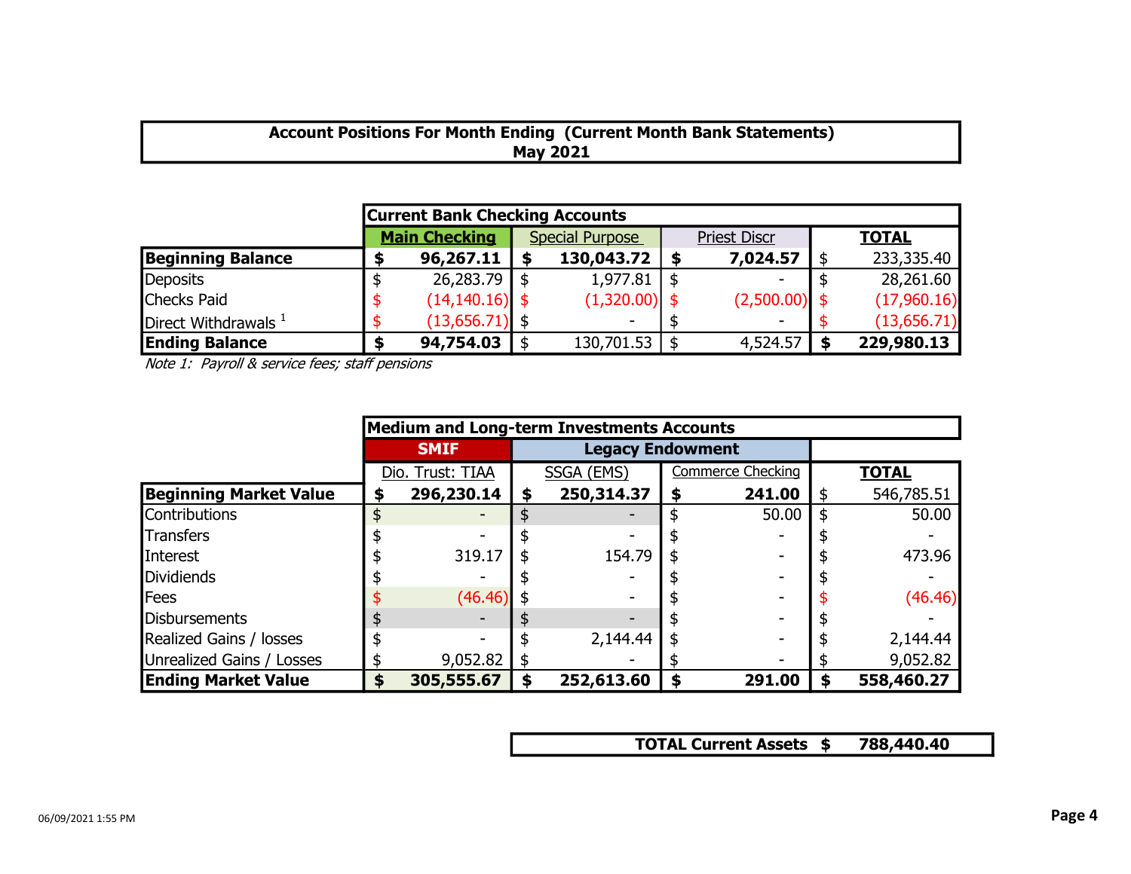# Account Positions For Month Ending (Current Month Bank Statements) May 2021

|                          | <b>Current Bank Checking Accounts</b> |                      |  |                        |                     |                          |  |              |  |  |  |  |  |  |
|--------------------------|---------------------------------------|----------------------|--|------------------------|---------------------|--------------------------|--|--------------|--|--|--|--|--|--|
|                          |                                       | <b>Main Checking</b> |  | <b>Special Purpose</b> | <b>Priest Discr</b> |                          |  | <b>TOTAL</b> |  |  |  |  |  |  |
| <b>Beginning Balance</b> |                                       | 96,267.11            |  | 130,043.72             |                     | 7,024.57                 |  | 233,335.40   |  |  |  |  |  |  |
| Deposits                 |                                       | 26,283.79            |  | 1,977.81               |                     | -                        |  | 28,261.60    |  |  |  |  |  |  |
| Checks Paid              |                                       | $(14, 140.16)$ \$    |  | $(1,320.00)$ \$        |                     | $(2,500.00)$ \$          |  | (17,960.16)  |  |  |  |  |  |  |
| Direct Withdrawals $1$   |                                       | $(13,656.71)$ \$     |  |                        |                     | $\overline{\phantom{a}}$ |  | (13,656.71)  |  |  |  |  |  |  |
| <b>Ending Balance</b>    |                                       | 94,754.03            |  | $130,701.53$   \$      |                     | 4,524.57                 |  | 229,980.13   |  |  |  |  |  |  |

Note 1: Payroll & service fees; staff pensions

|                               |    |                  |   | <b>Medium and Long-term Investments Accounts</b> |    |                          |    |              |
|-------------------------------|----|------------------|---|--------------------------------------------------|----|--------------------------|----|--------------|
|                               |    | <b>SMIF</b>      |   | <b>Legacy Endowment</b>                          |    |                          |    |              |
|                               |    | Dio. Trust: TIAA |   | SSGA (EMS)                                       |    | <b>Commerce Checking</b> |    | <b>TOTAL</b> |
| <b>Beginning Market Value</b> | \$ | 296,230.14       | S | 250,314.37                                       | \$ | 241.00                   | \$ | 546,785.51   |
| Contributions                 |    |                  |   |                                                  | \$ | 50.00                    | \$ | 50.00        |
| Transfers                     |    |                  |   |                                                  |    |                          |    |              |
| Interest                      |    | 319.17           |   | 154.79                                           |    |                          |    | 473.96       |
| Dividiends                    |    |                  |   |                                                  |    |                          |    |              |
| Fees                          |    | (46.46)          |   |                                                  |    |                          |    | (46.46)      |
| Disbursements                 |    |                  |   |                                                  |    |                          |    |              |
| Realized Gains / losses       |    |                  |   | 2,144.44                                         |    |                          |    | 2,144.44     |
| Unrealized Gains / Losses     |    | 9,052.82         |   |                                                  |    |                          |    | 9,052.82     |
| <b>Ending Market Value</b>    | S  | 305,555.67       |   | 252,613.60                                       | \$ | 291.00                   | S  | 558,460.27   |

TOTAL Current Assets \$788,440.40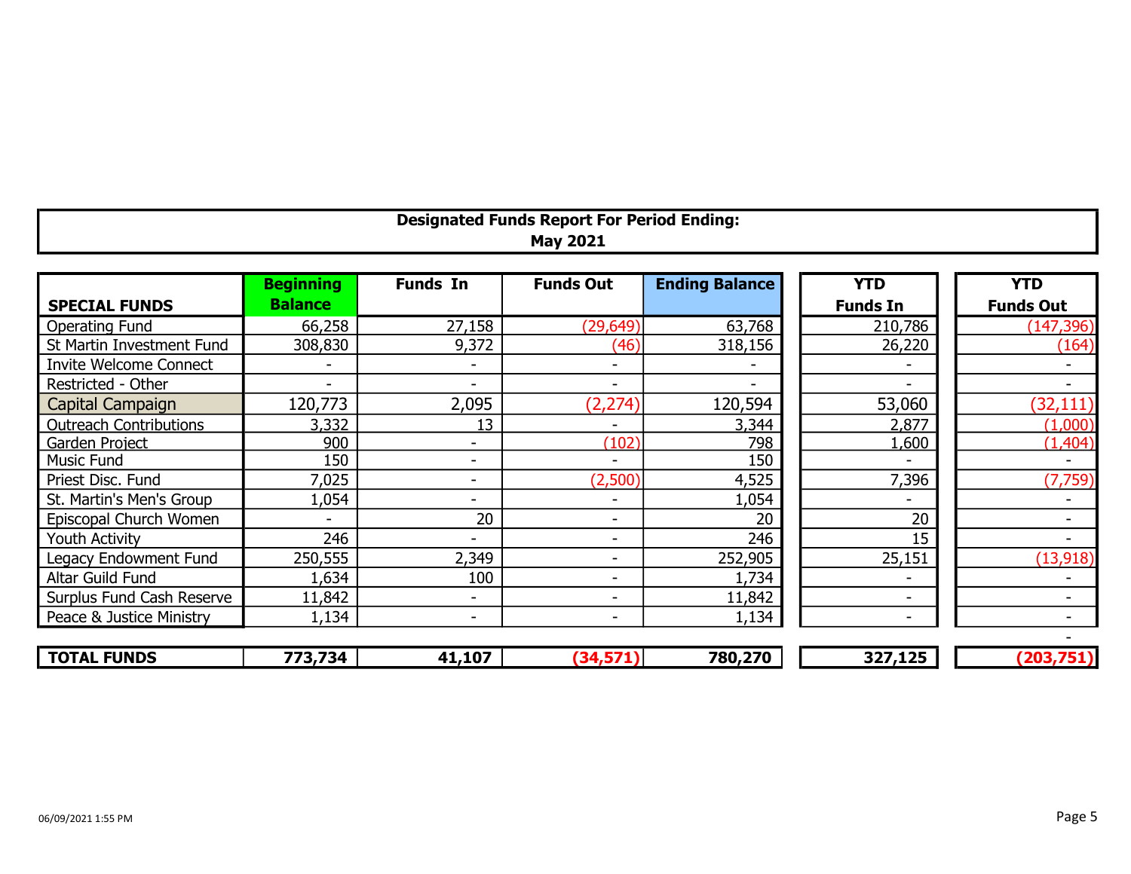| <b>Designated Funds Report For Period Ending:</b> |  |
|---------------------------------------------------|--|
| <b>May 2021</b>                                   |  |

|                               | <b>Beginning</b>         | <b>Funds In</b>          | <b>Funds Out</b>         | <b>Ending Balance</b> | <b>YTD</b>               | <b>YTD</b>       |
|-------------------------------|--------------------------|--------------------------|--------------------------|-----------------------|--------------------------|------------------|
| <b>SPECIAL FUNDS</b>          | <b>Balance</b>           |                          |                          |                       | <b>Funds In</b>          | <b>Funds Out</b> |
| <b>Operating Fund</b>         | 66,258                   | 27,158                   | (29, 649)                | 63,768                | 210,786                  | (147, 396)       |
| St Martin Investment Fund     | 308,830                  | 9,372                    | (46)                     | 318,156               | 26,220                   | (164)            |
| <b>Invite Welcome Connect</b> |                          | $\overline{\phantom{a}}$ | $\overline{\phantom{0}}$ |                       |                          |                  |
| Restricted - Other            | $\overline{\phantom{a}}$ |                          | $\overline{\phantom{a}}$ |                       |                          |                  |
| Capital Campaign              | 120,773                  | 2,095                    | (2, 274)                 | 120,594               | 53,060                   | (32, 111)        |
| <b>Outreach Contributions</b> | 3,332                    | 13                       |                          | 3,344                 | 2,877                    | (1,000)          |
| Garden Project                | 900                      | $\blacksquare$           | (102)                    | 798                   | 1,600                    | (1, 404)         |
| Music Fund                    | 150                      | $\overline{\phantom{0}}$ |                          | 150                   |                          |                  |
| Priest Disc. Fund             | 7,025                    | -                        | (2,500)                  | 4,525                 | 7,396                    | (7,759)          |
| St. Martin's Men's Group      | 1,054                    |                          |                          | 1,054                 |                          |                  |
| Episcopal Church Women        |                          | 20                       | $\overline{\phantom{0}}$ | 20                    | 20                       |                  |
| <b>Youth Activity</b>         | 246                      | -                        | $\overline{\phantom{0}}$ | 246                   | 15                       |                  |
| Legacy Endowment Fund         | 250,555                  | 2,349                    |                          | 252,905               | 25,151                   | (13,918)         |
| Altar Guild Fund              | 1,634                    | 100                      |                          | 1,734                 |                          |                  |
| Surplus Fund Cash Reserve     | 11,842                   | $\overline{\phantom{0}}$ |                          | 11,842                | $\overline{\phantom{0}}$ |                  |
| Peace & Justice Ministry      | 1,134                    | -                        | $\overline{\phantom{a}}$ | 1,134                 | $\overline{\phantom{0}}$ |                  |
|                               |                          |                          |                          |                       |                          |                  |

| <b>FUNDS</b><br><b>TOTAL</b> | 773,734 | .1,107 | <b>The Company of Street</b> | 780,270 | 222222<br>- - -<br>______ | חי |
|------------------------------|---------|--------|------------------------------|---------|---------------------------|----|
|                              |         |        |                              |         |                           |    |